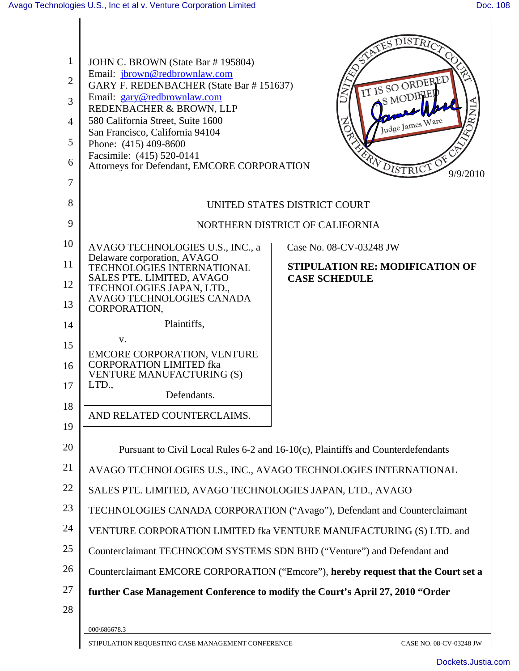| 1              | JOHN C. BROWN (State Bar #195804)                                                  |                                        | SATES DISTRICT                 |
|----------------|------------------------------------------------------------------------------------|----------------------------------------|--------------------------------|
|                | Email: jbrown@redbrownlaw.com                                                      |                                        |                                |
| $\overline{2}$ | GARY F. REDENBACHER (State Bar #151637)<br>Email: gary@redbrownlaw.com             |                                        | IT IS SO ORDERED<br>S MODIFIEL |
| 3              | REDENBACHER & BROWN, LLP                                                           |                                        |                                |
| $\overline{4}$ | 580 California Street, Suite 1600<br>San Francisco, California 94104               |                                        | Judge James Ware               |
| 5              | Phone: (415) 409-8600                                                              |                                        |                                |
| 6              | Facsimile: (415) 520-0141<br>Attorneys for Defendant, EMCORE CORPORATION           |                                        | PA DISTRICTO                   |
| 7              |                                                                                    |                                        | 9/9/2010                       |
| 8              |                                                                                    |                                        |                                |
|                |                                                                                    | UNITED STATES DISTRICT COURT           |                                |
| 9              |                                                                                    | NORTHERN DISTRICT OF CALIFORNIA        |                                |
| 10             | AVAGO TECHNOLOGIES U.S., INC., a                                                   | Case No. 08-CV-03248 JW                |                                |
| 11             | Delaware corporation, AVAGO<br>TECHNOLOGIES INTERNATIONAL                          | <b>STIPULATION RE: MODIFICATION OF</b> |                                |
| 12             | SALES PTE. LIMITED, AVAGO<br>TECHNOLOGIES JAPAN, LTD.,                             | <b>CASE SCHEDULE</b>                   |                                |
| 13             | AVAGO TECHNOLOGIES CANADA<br>CORPORATION,                                          |                                        |                                |
| 14             | Plaintiffs,                                                                        |                                        |                                |
| 15             | V.                                                                                 |                                        |                                |
|                | <b>EMCORE CORPORATION, VENTURE</b><br><b>CORPORATION LIMITED fka</b>               |                                        |                                |
| 16             | <b>VENTURE MANUFACTURING (S)</b>                                                   |                                        |                                |
| 17             | LTD.,<br>Defendants.                                                               |                                        |                                |
| 18             | AND RELATED COUNTERCLAIMS.                                                         |                                        |                                |
| 19             |                                                                                    |                                        |                                |
| 20             | Pursuant to Civil Local Rules 6-2 and 16-10(c), Plaintiffs and Counterdefendants   |                                        |                                |
| 21             | AVAGO TECHNOLOGIES U.S., INC., AVAGO TECHNOLOGIES INTERNATIONAL                    |                                        |                                |
| 22             | SALES PTE. LIMITED, AVAGO TECHNOLOGIES JAPAN, LTD., AVAGO                          |                                        |                                |
| 23             | TECHNOLOGIES CANADA CORPORATION ("Avago"), Defendant and Counterclaimant           |                                        |                                |
| 24             | VENTURE CORPORATION LIMITED fka VENTURE MANUFACTURING (S) LTD. and                 |                                        |                                |
| 25             | Counterclaimant TECHNOCOM SYSTEMS SDN BHD ("Venture") and Defendant and            |                                        |                                |
| 26             | Counterclaimant EMCORE CORPORATION ("Emcore"), hereby request that the Court set a |                                        |                                |
| 27             | further Case Management Conference to modify the Court's April 27, 2010 "Order     |                                        |                                |
| 28             |                                                                                    |                                        |                                |
|                | 000\686678.3                                                                       |                                        |                                |
|                | STIPULATION REQUESTING CASE MANAGEMENT CONFERENCE                                  |                                        | CASE NO. 08-CV-03248 JW        |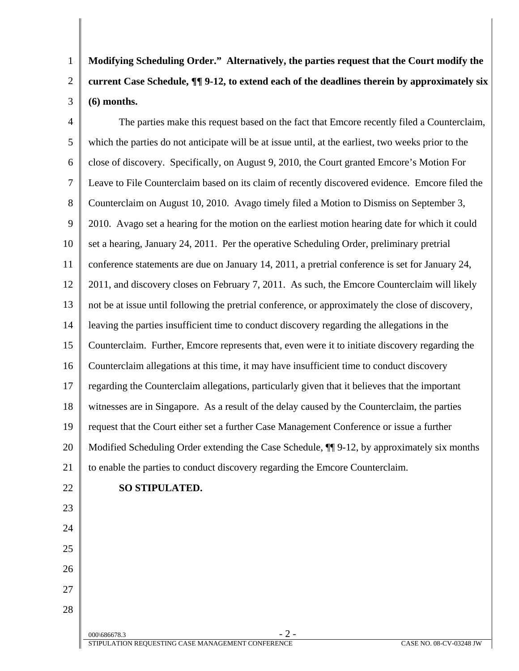1 2 3 **Modifying Scheduling Order." Alternatively, the parties request that the Court modify the current Case Schedule, ¶¶ 9-12, to extend each of the deadlines therein by approximately six (6) months.**

4 5 6 7 8 9 10 11 12 13 14 15 16 17 18 19 20 21 The parties make this request based on the fact that Emcore recently filed a Counterclaim, which the parties do not anticipate will be at issue until, at the earliest, two weeks prior to the close of discovery. Specifically, on August 9, 2010, the Court granted Emcore's Motion For Leave to File Counterclaim based on its claim of recently discovered evidence. Emcore filed the Counterclaim on August 10, 2010. Avago timely filed a Motion to Dismiss on September 3, 2010. Avago set a hearing for the motion on the earliest motion hearing date for which it could set a hearing, January 24, 2011. Per the operative Scheduling Order, preliminary pretrial conference statements are due on January 14, 2011, a pretrial conference is set for January 24, 2011, and discovery closes on February 7, 2011. As such, the Emcore Counterclaim will likely not be at issue until following the pretrial conference, or approximately the close of discovery, leaving the parties insufficient time to conduct discovery regarding the allegations in the Counterclaim. Further, Emcore represents that, even were it to initiate discovery regarding the Counterclaim allegations at this time, it may have insufficient time to conduct discovery regarding the Counterclaim allegations, particularly given that it believes that the important witnesses are in Singapore. As a result of the delay caused by the Counterclaim, the parties request that the Court either set a further Case Management Conference or issue a further Modified Scheduling Order extending the Case Schedule, ¶¶ 9-12, by approximately six months to enable the parties to conduct discovery regarding the Emcore Counterclaim.

23

24

25

26

27

28

22

## **SO STIPULATED.**

 $000\backslash 686678.3$  - 2 -STIPULATION REQUESTING CASE MANAGEMENT CONFERENCE GASE OF CASE NO. 08-CV-03248 JW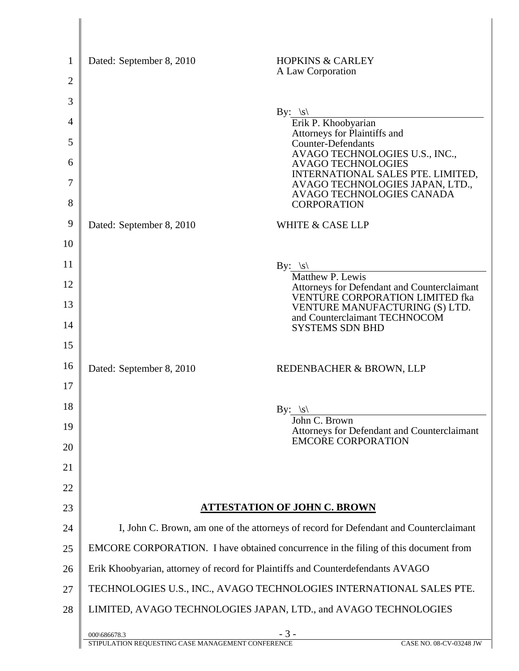| Dated: September 8, 2010 | <b>HOPKINS &amp; CARLEY</b>                                                                       |
|--------------------------|---------------------------------------------------------------------------------------------------|
|                          | A Law Corporation                                                                                 |
|                          |                                                                                                   |
|                          | By: $ s $<br>Erik P. Khoobyarian                                                                  |
|                          | Attorneys for Plaintiffs and<br><b>Counter-Defendants</b>                                         |
|                          | AVAGO TECHNOLOGIES U.S., INC.,<br><b>AVAGO TECHNOLOGIES</b>                                       |
|                          | INTERNATIONAL SALES PTE. LIMITED,<br>AVAGO TECHNOLOGIES JAPAN, LTD.,<br>AVAGO TECHNOLOGIES CANADA |
|                          | <b>CORPORATION</b>                                                                                |
| Dated: September 8, 2010 | <b>WHITE &amp; CASE LLP</b>                                                                       |
|                          |                                                                                                   |
|                          | By: $ s $<br>Matthew P. Lewis                                                                     |
|                          | Attorneys for Defendant and Counterclaimant<br>VENTURE CORPORATION LIMITED fka                    |
|                          | VENTURE MANUFACTURING (S) LTD.<br>and Counterclaimant TECHNOCOM                                   |
|                          | <b>SYSTEMS SDN BHD</b>                                                                            |
|                          |                                                                                                   |
| Dated: September 8, 2010 | REDENBACHER & BROWN, LLP                                                                          |
|                          |                                                                                                   |
|                          | By: $ s $<br>John C. Brown                                                                        |
|                          | Attorneys for Defendant and Counterclaimant<br><b>EMCORE CORPORATION</b>                          |
|                          |                                                                                                   |
|                          |                                                                                                   |
|                          |                                                                                                   |
|                          | <u>ATTESTATION OF JOHN C. BROWN</u>                                                               |
|                          | I, John C. Brown, am one of the attorneys of record for Defendant and Counterclaimant             |
|                          | EMCORE CORPORATION. I have obtained concurrence in the filing of this document from               |
|                          | Erik Khoobyarian, attorney of record for Plaintiffs and Counterdefendants AVAGO                   |
|                          | TECHNOLOGIES U.S., INC., AVAGO TECHNOLOGIES INTERNATIONAL SALES PTE.                              |
|                          | LIMITED, AVAGO TECHNOLOGIES JAPAN, LTD., and AVAGO TECHNOLOGIES                                   |
| 000\686678.3             | $-3-$<br>CASE NO. 08-CV-03248 JW                                                                  |
|                          | STIPULATION REQUESTING CASE MANAGEMENT CONFERENCE                                                 |